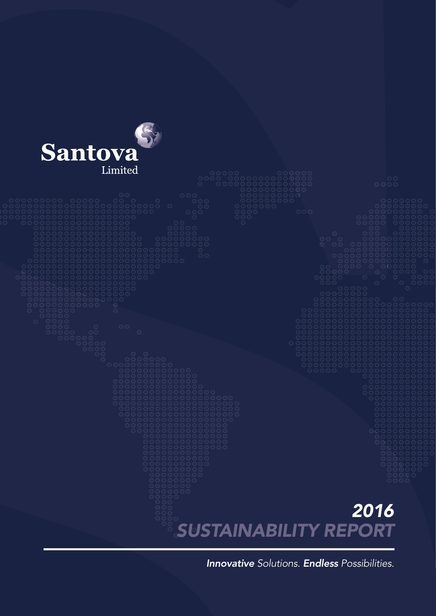

*Innovative Solutions. Endless Possibilities.*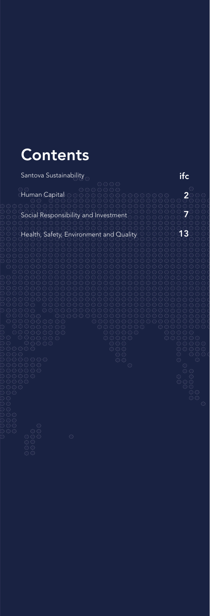## Contents

Santova Sustainability in the set of  $\overline{\text{ifc}}$ Human Capital 2 Social Responsibility and Investment 7 Health, Safety, Environment and Quality 13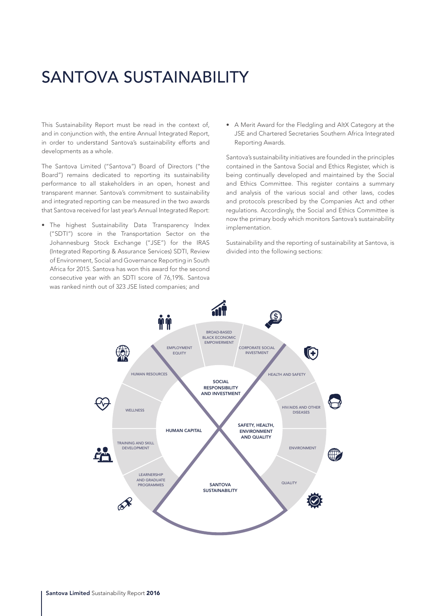## SANTOVA SUSTAINABILITY

This Sustainability Report must be read in the context of, and in conjunction with, the entire Annual Integrated Report, in order to understand Santova's sustainability efforts and developments as a whole.

The Santova Limited ("Santova") Board of Directors ("the Board") remains dedicated to reporting its sustainability performance to all stakeholders in an open, honest and transparent manner. Santova's commitment to sustainability and integrated reporting can be measured in the two awards that Santova received for last year's Annual Integrated Report:

• The highest Sustainability Data Transparency Index ("SDTI") score in the Transportation Sector on the Johannesburg Stock Exchange ("JSE") for the IRAS (Integrated Reporting & Assurance Services) SDTI, Review of Environment, Social and Governance Reporting in South Africa for 2015. Santova has won this award for the second consecutive year with an SDTI score of 76,19%. Santova was ranked ninth out of 323 JSE listed companies; and

• A Merit Award for the Fledgling and AltX Category at the JSE and Chartered Secretaries Southern Africa Integrated Reporting Awards.

Santova's sustainability initiatives are founded in the principles contained in the Santova Social and Ethics Register, which is being continually developed and maintained by the Social and Ethics Committee. This register contains a summary and analysis of the various social and other laws, codes and protocols prescribed by the Companies Act and other regulations. Accordingly, the Social and Ethics Committee is now the primary body which monitors Santova's sustainability implementation.

Sustainability and the reporting of sustainability at Santova, is divided into the following sections:

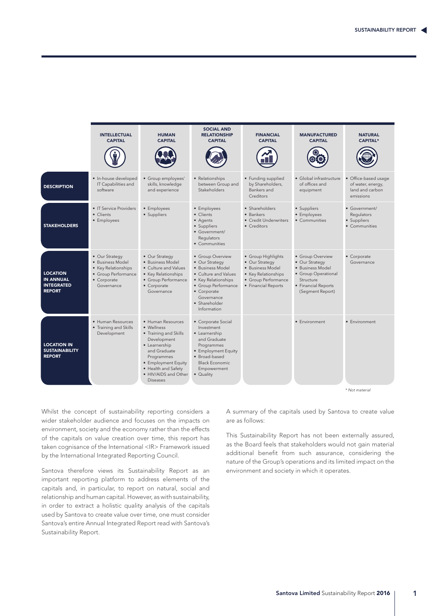

Whilst the concept of sustainability reporting considers a wider stakeholder audience and focuses on the impacts on environment, society and the economy rather than the effects of the capitals on value creation over time, this report has taken cognisance of the International <IR> Framework issued by the International Integrated Reporting Council.

Santova therefore views its Sustainability Report as an important reporting platform to address elements of the capitals and, in particular, to report on natural, social and relationship and human capital. However, as with sustainability, in order to extract a holistic quality analysis of the capitals used by Santova to create value over time, one must consider Santova's entire Annual Integrated Report read with Santova's Sustainability Report.

A summary of the capitals used by Santova to create value are as follows:

This Sustainability Report has not been externally assured, as the Board feels that stakeholders would not gain material additional benefit from such assurance, considering the nature of the Group's operations and its limited impact on the environment and society in which it operates.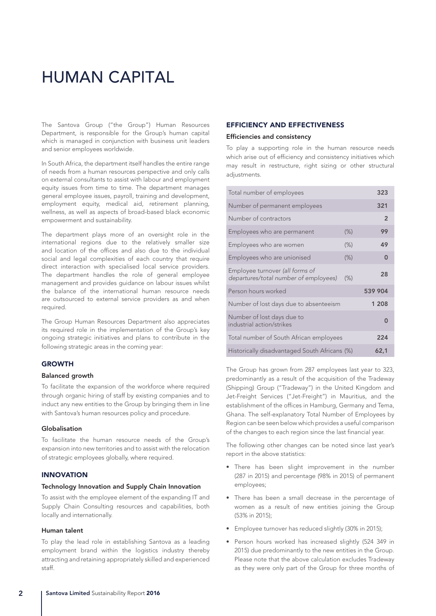## HUMAN CAPITAL

The Santova Group ("the Group") Human Resources Department, is responsible for the Group's human capital which is managed in conjunction with business unit leaders and senior employees worldwide.

In South Africa, the department itself handles the entire range of needs from a human resources perspective and only calls on external consultants to assist with labour and employment equity issues from time to time. The department manages general employee issues, payroll, training and development, employment equity, medical aid, retirement planning, wellness, as well as aspects of broad-based black economic empowerment and sustainability.

The department plays more of an oversight role in the international regions due to the relatively smaller size and location of the offices and also due to the individual social and legal complexities of each country that require direct interaction with specialised local service providers. The department handles the role of general employee management and provides guidance on labour issues whilst the balance of the international human resource needs are outsourced to external service providers as and when required.

The Group Human Resources Department also appreciates its required role in the implementation of the Group's key ongoing strategic initiatives and plans to contribute in the following strategic areas in the coming year:

### GROWTH

#### Balanced growth

To facilitate the expansion of the workforce where required through organic hiring of staff by existing companies and to induct any new entities to the Group by bringing them in line with Santova's human resources policy and procedure.

#### Globalisation

To facilitate the human resource needs of the Group's expansion into new territories and to assist with the relocation of strategic employees globally, where required.

#### INNOVATION

#### Technology Innovation and Supply Chain Innovation

To assist with the employee element of the expanding IT and Supply Chain Consulting resources and capabilities, both locally and internationally.

#### Human talent

To play the lead role in establishing Santova as a leading employment brand within the logistics industry thereby attracting and retaining appropriately skilled and experienced staff.

### EFFICIENCY AND EFFECTIVENESS

#### Efficiencies and consistency

To play a supporting role in the human resource needs which arise out of efficiency and consistency initiatives which may result in restructure, right sizing or other structural adiustments.

| Total number of employees                                                | 323    |                |
|--------------------------------------------------------------------------|--------|----------------|
| Number of permanent employees                                            |        | 321            |
| Number of contractors                                                    |        | $\overline{2}$ |
| Employees who are permanent                                              | $(\%)$ | 99             |
| Employees who are women                                                  | $(\%)$ | 49             |
| Employees who are unionised                                              | $(\%)$ | 0              |
| Employee turnover (all forms of<br>departures/total number of employees) | (% )   | 28             |
| Person hours worked                                                      |        | 539 904        |
| Number of lost days due to absenteeism                                   |        | 1 208          |
| Number of lost days due to<br>industrial action/strikes                  |        | 0              |
| Total number of South African employees                                  | 224    |                |
| Historically disadvantaged South Africans (%)                            | 62,1   |                |

The Group has grown from 287 employees last year to 323, predominantly as a result of the acquisition of the Tradeway (Shipping) Group ("Tradeway") in the United Kingdom and Jet-Freight Services ("Jet-Freight") in Mauritius, and the establishment of the offices in Hamburg, Germany and Tema, Ghana. The self-explanatory Total Number of Employees by Region can be seen below which provides a useful comparison of the changes to each region since the last financial year.

The following other changes can be noted since last year's report in the above statistics:

- There has been slight improvement in the number (287 in 2015) and percentage (98% in 2015) of permanent employees;
- There has been a small decrease in the percentage of women as a result of new entities joining the Group (53% in 2015);
- Employee turnover has reduced slightly (30% in 2015);
- Person hours worked has increased slightly (524 349 in 2015) due predominantly to the new entities in the Group. Please note that the above calculation excludes Tradeway as they were only part of the Group for three months of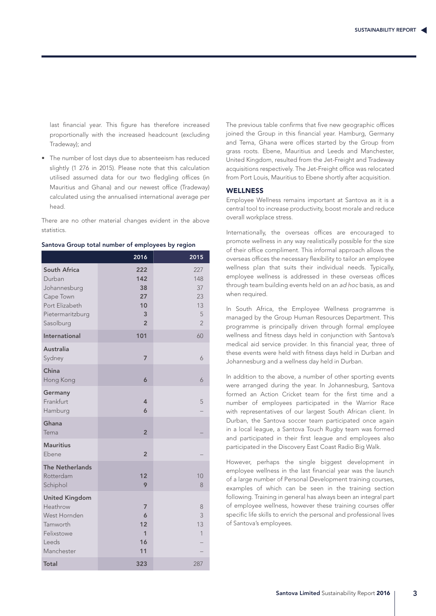last financial year. This figure has therefore increased proportionally with the increased headcount (excluding Tradeway); and

• The number of lost days due to absenteeism has reduced slightly (1 276 in 2015). Please note that this calculation utilised assumed data for our two fledgling offices (in Mauritius and Ghana) and our newest office (Tradeway) calculated using the annualised international average per head.

There are no other material changes evident in the above statistics.

|                                                                                                        | 2016                                                | 2015                                                |
|--------------------------------------------------------------------------------------------------------|-----------------------------------------------------|-----------------------------------------------------|
| South Africa<br>Durban<br>Johannesburg<br>Cape Town<br>Port Elizabeth<br>Pietermaritzburg<br>Sasolburg | 222<br>142<br>38<br>27<br>10<br>3<br>$\overline{2}$ | 227<br>148<br>37<br>23<br>13<br>5<br>$\overline{2}$ |
| International                                                                                          | 101                                                 | 60                                                  |
| <b>Australia</b><br>Sydney                                                                             | $\overline{7}$                                      | 6                                                   |
| China<br>Hong Kong                                                                                     | 6                                                   | 6                                                   |
| Germany<br>Frankfurt<br>Hamburg                                                                        | $\overline{4}$<br>6                                 | 5                                                   |
| Ghana<br>Tema                                                                                          | $\overline{2}$                                      |                                                     |
| <b>Mauritius</b><br>Ebene                                                                              | $\overline{2}$                                      |                                                     |
| <b>The Netherlands</b><br>Rotterdam<br>Schiphol                                                        | 12<br>9                                             | 10<br>8                                             |
| <b>United Kingdom</b><br>Heathrow<br>West Hornden<br>Tamworth<br>Felixstowe<br>Leeds<br>Manchester     | 7<br>6<br>12<br>1<br>16<br>11                       | 8<br>3<br>13<br>1                                   |
| <b>Total</b>                                                                                           | 323                                                 | 287                                                 |

|  |  |  | Santova Group total number of employees by region |
|--|--|--|---------------------------------------------------|
|  |  |  |                                                   |

The previous table confirms that five new geographic offices joined the Group in this financial year. Hamburg, Germany and Tema, Ghana were offices started by the Group from grass roots. Ebene, Mauritius and Leeds and Manchester, United Kingdom, resulted from the Jet-Freight and Tradeway acquisitions respectively. The Jet-Freight office was relocated from Port Louis, Mauritius to Ebene shortly after acquisition.

### **WELLNESS**

Employee Wellness remains important at Santova as it is a central tool to increase productivity, boost morale and reduce overall workplace stress.

Internationally, the overseas offices are encouraged to promote wellness in any way realistically possible for the size of their office compliment. This informal approach allows the overseas offices the necessary flexibility to tailor an employee wellness plan that suits their individual needs. Typically, employee wellness is addressed in these overseas offices through team building events held on an *ad hoc* basis, as and when required.

In South Africa, the Employee Wellness programme is managed by the Group Human Resources Department. This programme is principally driven through formal employee wellness and fitness days held in conjunction with Santova's medical aid service provider. In this financial year, three of these events were held with fitness days held in Durban and Johannesburg and a wellness day held in Durban.

In addition to the above, a number of other sporting events were arranged during the year. In Johannesburg, Santova formed an Action Cricket team for the first time and a number of employees participated in the Warrior Race with representatives of our largest South African client. In Durban, the Santova soccer team participated once again in a local league, a Santova Touch Rugby team was formed and participated in their first league and employees also participated in the Discovery East Coast Radio Big Walk.

However, perhaps the single biggest development in employee wellness in the last financial year was the launch of a large number of Personal Development training courses, examples of which can be seen in the training section following. Training in general has always been an integral part of employee wellness, however these training courses offer specific life skills to enrich the personal and professional lives of Santova's employees.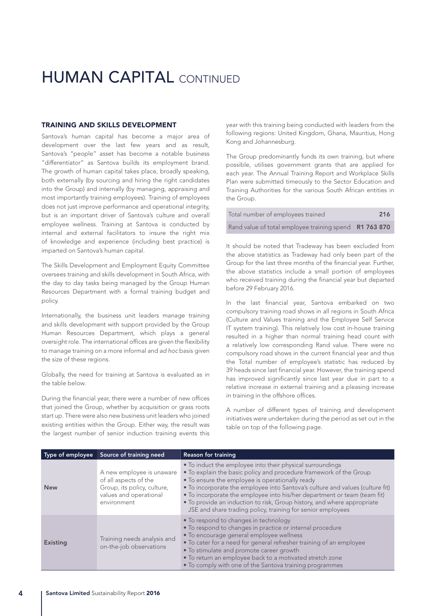## **HUMAN CAPITAL CONTINUED**

#### TRAINING AND SKILLS DEVELOPMENT

Santova's human capital has become a major area of development over the last few years and as result, Santova's "people" asset has become a notable business "differentiator" as Santova builds its employment brand. The growth of human capital takes place, broadly speaking, both externally (by sourcing and hiring the right candidates into the Group) and internally (by managing, appraising and most importantly training employees). Training of employees does not just improve performance and operational integrity, but is an important driver of Santova's culture and overall employee wellness. Training at Santova is conducted by internal and external facilitators to insure the right mix of knowledge and experience (including best practice) is imparted on Santova's human capital.

The Skills Development and Employment Equity Committee oversees training and skills development in South Africa, with the day to day tasks being managed by the Group Human Resources Department with a formal training budget and policy.

Internationally, the business unit leaders manage training and skills development with support provided by the Group Human Resources Department, which plays a general oversight role. The international offices are given the flexibility to manage training on a more informal and *ad hoc* basis given the size of these regions.

Globally, the need for training at Santova is evaluated as in the table below.

During the financial year, there were a number of new offices that joined the Group, whether by acquisition or grass roots start up. There were also new business unit leaders who joined existing entities within the Group. Either way, the result was the largest number of senior induction training events this year with this training being conducted with leaders from the following regions: United Kingdom, Ghana, Mauritius, Hong Kong and Johannesburg.

The Group predominantly funds its own training, but where possible, utilises government grants that are applied for each year. The Annual Training Report and Workplace Skills Plan were submitted timeously to the Sector Education and Training Authorities for the various South African entities in the Group.

| Total number of employees trained                      | 216 |
|--------------------------------------------------------|-----|
| Rand value of total employee training spend R1 763 870 |     |

It should be noted that Tradeway has been excluded from the above statistics as Tradeway had only been part of the Group for the last three months of the financial year. Further, the above statistics include a small portion of employees who received training during the financial year but departed before 29 February 2016.

In the last financial year, Santova embarked on two compulsory training road shows in all regions in South Africa (Culture and Values training and the Employee Self Service IT system training). This relatively low cost in-house training resulted in a higher than normal training head count with a relatively low corresponding Rand value. There were no compulsory road shows in the current financial year and thus the Total number of employee's statistic has reduced by 39 heads since last financial year. However, the training spend has improved significantly since last year due in part to a relative increase in external training and a pleasing increase in training in the offshore offices.

A number of different types of training and development initiatives were undertaken during the period as set out in the table on top of the following page.

| Type of employee | Source of training need                                                                                                    | <b>Reason for training</b>                                                                                                                                                                                                                                                                                                                                                                                                                                                                |
|------------------|----------------------------------------------------------------------------------------------------------------------------|-------------------------------------------------------------------------------------------------------------------------------------------------------------------------------------------------------------------------------------------------------------------------------------------------------------------------------------------------------------------------------------------------------------------------------------------------------------------------------------------|
| <b>New</b>       | A new employee is unaware<br>of all aspects of the<br>Group, its policy, culture,<br>values and operational<br>environment | • To induct the employee into their physical surroundings<br>. To explain the basic policy and procedure framework of the Group<br>• To ensure the employee is operationally ready<br>. To incorporate the employee into Santova's culture and values (culture fit)<br>• To incorporate the employee into his/her department or team (team fit)<br>• To provide an induction to risk, Group history, and where appropriate<br>JSE and share trading policy, training for senior employees |
| <b>Existing</b>  | Training needs analysis and<br>on-the-job observations                                                                     | • To respond to changes in technology<br>. To respond to changes in practice or internal procedure<br>• To encourage general employee wellness<br>• To cater for a need for general refresher training of an employee<br>• To stimulate and promote career growth<br>• To return an employee back to a motivated stretch zone<br>• To comply with one of the Santova training programmes                                                                                                  |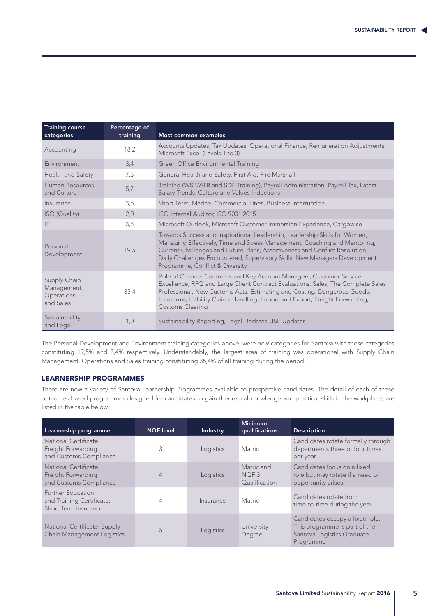| <b>Training course</b><br>categories                   | Percentage of<br>training | Most common examples                                                                                                                                                                                                                                                                                                                                    |
|--------------------------------------------------------|---------------------------|---------------------------------------------------------------------------------------------------------------------------------------------------------------------------------------------------------------------------------------------------------------------------------------------------------------------------------------------------------|
| Accounting                                             | 18,2                      | Accounts Updates, Tax Updates, Operational Finance, Remuneration Adjustments,<br>Microsoft Excel (Levels 1 to 3)                                                                                                                                                                                                                                        |
| Environment                                            | 3,4                       | Green Office Environmental Training                                                                                                                                                                                                                                                                                                                     |
| Health and Safety                                      | 7,5                       | General Health and Safety, First Aid, Fire Marshall                                                                                                                                                                                                                                                                                                     |
| Human Resources<br>and Culture                         | 5,7                       | Training (WSP/ATR and SDF Training), Payroll Administration, Payroll Tax, Latest<br>Salary Trends, Culture and Values Inductions                                                                                                                                                                                                                        |
| Insurance                                              | 3,5                       | Short Term, Marine, Commercial Lines, Business Interruption                                                                                                                                                                                                                                                                                             |
| ISO (Quality)                                          | 2,0                       | ISO Internal Auditor, ISO 9001:2015                                                                                                                                                                                                                                                                                                                     |
| $\mathsf{I}\mathsf{T}$                                 | 3,8                       | Microsoft Outlook, Microsoft Customer Immersion Experience, Cargowise                                                                                                                                                                                                                                                                                   |
| Personal<br>Development                                | 19,5                      | Towards Success and Inspirational Leadership, Leadership Skills for Women,<br>Managing Effectively, Time and Stress Management, Coaching and Mentoring,<br>Current Challenges and Future Plans, Assertiveness and Conflict Resolution,<br>Daily Challenges Encountered, Supervisory Skills, New Managers Development<br>Programme, Conflict & Diversity |
| Supply Chain<br>Management,<br>Operations<br>and Sales | 35,4                      | Role of Channel Controller and Key Account Managers, Customer Service<br>Excellence, RFQ and Large Client Contract Evaluations, Sales, The Complete Sales<br>Professional, New Customs Acts, Estimating and Costing, Dangerous Goods,<br>Incoterms, Liability Claims Handling, Import and Export, Freight Forwarding,<br><b>Customs Clearing</b>        |
| Sustainability<br>and Legal                            | 1,0                       | Sustainability Reporting, Legal Updates, JSE Updates                                                                                                                                                                                                                                                                                                    |

The Personal Development and Environment training categories above, were new categories for Santova with these categories constituting 19,5% and 3,4% respectively. Understandably, the largest area of training was operational with Supply Chain Management, Operations and Sales training constituting 35,4% of all training during the period.

### LEARNERSHIP PROGRAMMES

There are now a variety of Santova Learnership Programmes available to prospective candidates. The detail of each of these outcomes-based programmes designed for candidates to gain theoretical knowledge and practical skills in the workplace, are listed in the table below.

| Learnership programme                                                         | <b>NQF</b> level         | <b>Industry</b> | <b>Minimum</b><br>qualifications                | <b>Description</b>                                                                                          |
|-------------------------------------------------------------------------------|--------------------------|-----------------|-------------------------------------------------|-------------------------------------------------------------------------------------------------------------|
| National Certificate:<br>Freight Forwarding<br>and Customs Compliance         | 3                        | Logistics       | Matric                                          | Candidates rotate formally through<br>departments three or four times<br>per year                           |
| National Certificate:<br>Freight Forwarding<br>and Customs Compliance         | 4                        | Logistics       | Matric and<br>NOF <sub>3</sub><br>Qualification | Candidates focus on a fixed<br>role but may rotate if a need or<br>opportunity arises                       |
| <b>Further Education</b><br>and Training Certificate:<br>Short Term Insurance | 4<br>Matric<br>Insurance |                 |                                                 | Candidates rotate from<br>time-to-time during the year                                                      |
| National Certificate: Supply<br>Chain Management Logistics                    | 5<br>Logistics           |                 | University<br>Degree                            | Candidates occupy a fixed role.<br>This programme is part of the<br>Santova Logistics Graduate<br>Programme |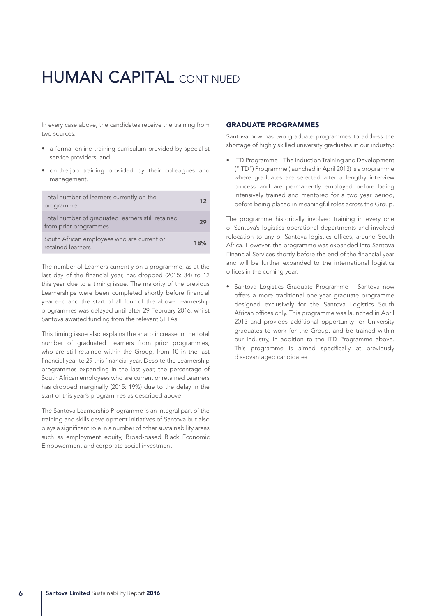## **HUMAN CAPITAL CONTINUED**

In every case above, the candidates receive the training from two sources:

- a formal online training curriculum provided by specialist service providers; and
- on-the-job training provided by their colleagues and management.

| Total number of learners currently on the<br>programme                     | 12 <sub>2</sub> |
|----------------------------------------------------------------------------|-----------------|
| Total number of graduated learners still retained<br>from prior programmes | 29              |
| South African employees who are current or<br>retained learners            | 18%             |

The number of Learners currently on a programme, as at the last day of the financial year, has dropped (2015: 34) to 12 this year due to a timing issue. The majority of the previous Learnerships were been completed shortly before financial year-end and the start of all four of the above Learnership programmes was delayed until after 29 February 2016, whilst Santova awaited funding from the relevant SETAs.

This timing issue also explains the sharp increase in the total number of graduated Learners from prior programmes, who are still retained within the Group, from 10 in the last financial year to 29 this financial year. Despite the Learnership programmes expanding in the last year, the percentage of South African employees who are current or retained Learners has dropped marginally (2015: 19%) due to the delay in the start of this year's programmes as described above.

The Santova Learnership Programme is an integral part of the training and skills development initiatives of Santova but also plays a significant role in a number of other sustainability areas such as employment equity, Broad-based Black Economic Empowerment and corporate social investment.

#### GRADUATE PROGRAMMES

Santova now has two graduate programmes to address the shortage of highly skilled university graduates in our industry:

• ITD Programme – The Induction Training and Development ("ITD") Programme (launched in April 2013) is a programme where graduates are selected after a lengthy interview process and are permanently employed before being intensively trained and mentored for a two year period, before being placed in meaningful roles across the Group.

The programme historically involved training in every one of Santova's logistics operational departments and involved relocation to any of Santova logistics offices, around South Africa. However, the programme was expanded into Santova Financial Services shortly before the end of the financial year and will be further expanded to the international logistics offices in the coming year.

• Santova Logistics Graduate Programme – Santova now offers a more traditional one-year graduate programme designed exclusively for the Santova Logistics South African offices only. This programme was launched in April 2015 and provides additional opportunity for University graduates to work for the Group, and be trained within our industry, in addition to the ITD Programme above. This programme is aimed specifically at previously disadvantaged candidates.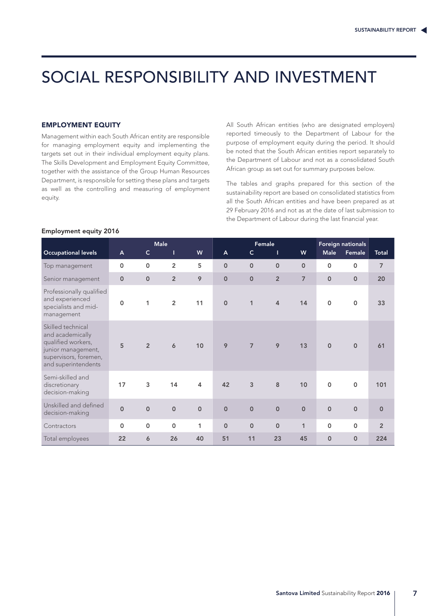## SOCIAL RESPONSIBILITY AND INVESTMENT

#### EMPLOYMENT EQUITY

Management within each South African entity are responsible for managing employment equity and implementing the targets set out in their individual employment equity plans. The Skills Development and Employment Equity Committee, together with the assistance of the Group Human Resources Department, is responsible for setting these plans and targets as well as the controlling and measuring of employment equity.

All South African entities (who are designated employers) reported timeously to the Department of Labour for the purpose of employment equity during the period. It should be noted that the South African entities report separately to the Department of Labour and not as a consolidated South African group as set out for summary purposes below.

The tables and graphs prepared for this section of the sustainability report are based on consolidated statistics from all the South African entities and have been prepared as at 29 February 2016 and not as at the date of last submission to the Department of Labour during the last financial year.

### Employment equity 2016

|                                                                                                                                   |              |                     | <b>Male</b>    |                | Female       |                |                | Foreign nationals  |             |             |                |
|-----------------------------------------------------------------------------------------------------------------------------------|--------------|---------------------|----------------|----------------|--------------|----------------|----------------|--------------------|-------------|-------------|----------------|
| <b>Occupational levels</b>                                                                                                        | $\mathsf{A}$ | $\mathsf{C}$        | т              | W              | $\mathsf{A}$ | $\mathsf{C}$   | Т              | W                  | <b>Male</b> | Female      | Total          |
| Top management                                                                                                                    | 0            | $\mathbf 0$         | $\overline{2}$ | 5              | $\mathbf 0$  | $\mathbf 0$    | $\mathbf 0$    | $\overline{0}$     | 0           | $\mathbf 0$ | $\overline{7}$ |
| Senior management                                                                                                                 | $\mathbf 0$  | $\mathbf 0$         | $\overline{2}$ | 9              | $\mathbf{O}$ | $\mathbf 0$    | $\overline{2}$ | $\overline{7}$     | $\pmb{0}$   | $\mathbf 0$ | 20             |
| Professionally qualified<br>and experienced<br>specialists and mid-<br>management                                                 | $\Omega$     | 1                   | $\overline{2}$ | 11             | $\mathbf 0$  | 1              | $\overline{4}$ | 14                 | $\mathbf 0$ | $\mathbf 0$ | 33             |
| Skilled technical<br>and academically<br>qualified workers,<br>junior management,<br>supervisors, foremen,<br>and superintendents | 5            | $\overline{2}$      | 6              | 10             | 9            | $\overline{7}$ | 9              | 13                 | $\mathbf 0$ | $\mathbf 0$ | 61             |
| Semi-skilled and<br>discretionary<br>decision-making                                                                              | 17           | 3                   | 14             | $\overline{4}$ | 42           | 3              | 8              | 10                 | $\mathbf 0$ | $\mathbf 0$ | 101            |
| Unskilled and defined<br>decision-making                                                                                          | $\mathbf 0$  | $\mathsf{O}\xspace$ | $\mathbf 0$    | $\mathbf 0$    | $\mathbf 0$  | $\mathsf O$    | $\mathbf 0$    | $\pmb{\mathsf{O}}$ | $\mathbf 0$ | $\mathbf 0$ | $\mathbf 0$    |
| Contractors                                                                                                                       | $\mathbf 0$  | $\pmb{0}$           | $\mathsf{o}$   | 1              | $\mathbf 0$  | $\mathbf 0$    | $\mathbf 0$    | $\mathbf{1}$       | $\mathbf 0$ | $\mathbf 0$ | $\overline{2}$ |
| Total employees                                                                                                                   | 22           | 6                   | 26             | 40             | 51           | 11             | 23             | 45                 | $\mathbf 0$ | $\mathbf 0$ | 224            |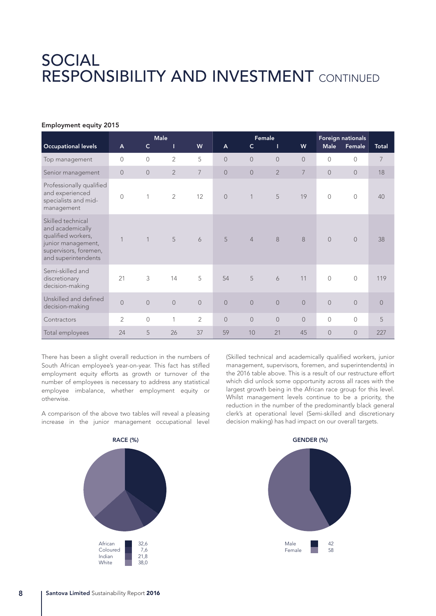## SOCIAL RESPONSIBILITY AND INVESTMENT CONTINUED

### Employment equity 2015

|                                                                                                                                   |                |                | <b>Male</b>    |                | Female         |                |                | Foreign nationals |                |                |              |
|-----------------------------------------------------------------------------------------------------------------------------------|----------------|----------------|----------------|----------------|----------------|----------------|----------------|-------------------|----------------|----------------|--------------|
| <b>Occupational levels</b>                                                                                                        | A              | $\mathsf{C}$   | Т              | W              | $\mathsf{A}$   | $\mathsf{C}$   | т              | W                 | <b>Male</b>    | Female         | <b>Total</b> |
| Top management                                                                                                                    | $\overline{0}$ | $\mathbf{0}$   | $\overline{2}$ | 5              | $\overline{0}$ | $\overline{0}$ | $\overline{0}$ | $\overline{0}$    | 0              | $\mathcal{O}$  | 7            |
| Senior management                                                                                                                 | $\overline{0}$ | $\overline{0}$ | $\overline{2}$ | 7              | $\overline{0}$ | $\overline{0}$ | $\overline{2}$ | 7                 | $\overline{0}$ | $\overline{0}$ | 18           |
| Professionally qualified<br>and experienced<br>specialists and mid-<br>management                                                 | $\overline{0}$ | 1              | 2              | 12             | $\sqrt{a}$     | $\mathbf 1$    | 5              | 19                | $\overline{0}$ | $\mathbb O$    | 40           |
| Skilled technical<br>and academically<br>qualified workers,<br>junior management,<br>supervisors, foremen,<br>and superintendents | $\overline{1}$ | 1              | 5              | 6              | 5              | $\overline{4}$ | 8              | 8                 | $\overline{O}$ | $\overline{0}$ | 38           |
| Semi-skilled and<br>discretionary<br>decision-making                                                                              | 21             | 3              | 14             | 5              | 54             | 5              | 6              | 11                | $\overline{0}$ | $\circ$        | 119          |
| Unskilled and defined<br>decision-making                                                                                          | $\overline{0}$ | $\mathbf{0}$   | $\mathbf 0$    | $\mathbf 0$    | $\overline{0}$ | $\mathbf 0$    | $\bigcirc$     | $\mathbf 0$       | $\overline{0}$ | $\sqrt{a}$     | $\sqrt{a}$   |
| Contractors                                                                                                                       | $\overline{2}$ | $\mathbf 0$    | $\mathbf{1}$   | $\overline{2}$ | $\overline{0}$ | $\sqrt{a}$     | $\overline{O}$ | $\overline{0}$    | $\overline{0}$ | $\circ$        | 5            |
| Total employees                                                                                                                   | 24             | 5              | 26             | 37             | 59             | 10             | 21             | 45                | $\overline{0}$ | $\overline{0}$ | 227          |

There has been a slight overall reduction in the numbers of South African employee's year-on-year. This fact has stifled employment equity efforts as growth or turnover of the number of employees is necessary to address any statistical employee imbalance, whether employment equity or otherwise.

A comparison of the above two tables will reveal a pleasing increase in the junior management occupational level



(Skilled technical and academically qualified workers, junior management, supervisors, foremen, and superintendents) in the 2016 table above. This is a result of our restructure effort which did unlock some opportunity across all races with the largest growth being in the African race group for this level. Whilst management levels continue to be a priority, the reduction in the number of the predominantly black general clerk's at operational level (Semi-skilled and discretionary decision making) has had impact on our overall targets.

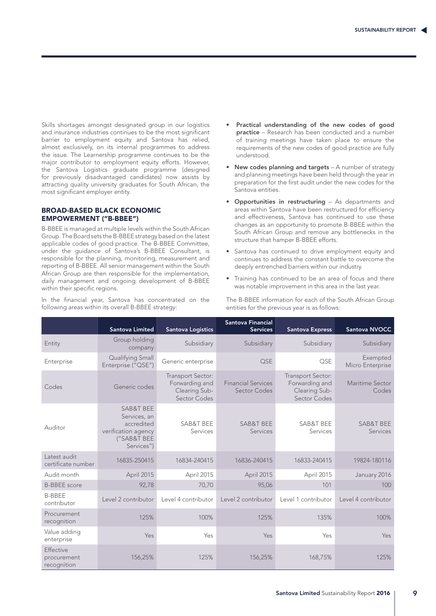Skills shortages amongst designated group in our logistics and insurance industries continues to be the most significant barrier to employment equity and Santova has relied, almost exclusively, on its internal programmes to address the issue. The Learnership programme continues to be the major contributor to employment equity efforts. However, the Santova Logistics graduate programme (designed for previously disadvantaged candidates) now assists by attracting quality university graduates for South African, the most significant employer entity.

### BROAD-BASED BLACK ECONOMIC EMPOWERMENT ("B-BBEE")

B-BBEE is managed at multiple levels within the South African Group. The Board sets the B-BBEE strategy based on the latest applicable codes of good practice. The B-BBEE Committee, under the guidance of Santova's B-BBEE Consultant, is responsible for the planning, monitoring, measurement and reporting of B-BBEE. All senior management within the South African Group are then responsible for the implementation, daily management and ongoing development of B-BBEE within their specific regions.

In the financial year, Santova has concentrated on the following areas within its overall B-BBEE strategy:

- Practical understanding of the new codes of good practice – Research has been conducted and a number of training meetings have taken place to ensure the requirements of the new codes of good practice are fully understood.
- New codes planning and targets A number of strategy and planning meetings have been held through the year in preparation for the first audit under the new codes for the Santova entities.
- Opportunities in restructuring As departments and areas within Santova have been restructured for efficiency and effectiveness, Santova has continued to use these changes as an opportunity to promote B-BBEE within the South African Group and remove any bottlenecks in the structure that hamper B-BBEE efforts.
- Santova has continued to drive employment equity and continues to address the constant battle to overcome the deeply entrenched barriers within our industry.
- Training has continued to be an area of focus and there was notable improvement in this area in the last year.

The B-BBEE information for each of the South African Group entities for the previous year is as follows:

|                                                | <b>Santova Limited</b>                                                                                 | <b>Santova Logistics</b>                                             | <b>Santova Financial</b><br><b>Services</b> | <b>Santova Express</b>                                               | <b>Santova NVOCC</b>             |
|------------------------------------------------|--------------------------------------------------------------------------------------------------------|----------------------------------------------------------------------|---------------------------------------------|----------------------------------------------------------------------|----------------------------------|
| Entity                                         | Group holding<br>company                                                                               | Subsidiary                                                           | Subsidiary                                  | Subsidiary                                                           | Subsidiary                       |
| Enterprise                                     | Qualifying Small<br>Enterprise ("QSE")                                                                 | Generic enterprise                                                   | OSE                                         | QSE                                                                  | Exempted<br>Micro Enterprise     |
| Codes                                          | Generic codes                                                                                          | Transport Sector:<br>Forwarding and<br>Clearing Sub-<br>Sector Codes | <b>Financial Services</b><br>Sector Codes   | Transport Sector:<br>Forwarding and<br>Clearing Sub-<br>Sector Codes | Maritime Sector<br>Codes         |
| Auditor                                        | <b>SAB&amp;T BEE</b><br>Services, an<br>accredited<br>verification agency<br>("SAB&T BEE<br>Services") | SAB&T BEE<br>Services                                                | SAB&T BEE<br>Services                       | <b>SAB&amp;T BEE</b><br>Services                                     | <b>SAB&amp;T BEE</b><br>Services |
| Latest audit<br>certificate number             | 16835-250415                                                                                           | 16834-240415                                                         | 16836-240415                                | 16833-240415                                                         | 19824-180116                     |
| Audit month                                    | April 2015                                                                                             | April 2015                                                           | April 2015                                  | April 2015                                                           | January 2016                     |
| <b>B-BBEE</b> score                            | 92,78                                                                                                  | 70,70                                                                | 95,06                                       | 101                                                                  | 100                              |
| <b>B-BBEE</b><br>contributor                   | Level 2 contributor                                                                                    | Level 4 contributor                                                  | Level 2 contributor                         | Level 1 contributor                                                  | Level 4 contributor              |
| Procurement<br>recognition                     | 125%                                                                                                   | 100%                                                                 | 125%                                        | 135%                                                                 | 100%                             |
| Value adding<br>enterprise                     | Yes                                                                                                    | Yes                                                                  | Yes                                         | Yes                                                                  | Yes                              |
| <b>Effective</b><br>procurement<br>recognition | 156,25%                                                                                                | 125%                                                                 | 156,25%                                     | 168,75%                                                              | 125%                             |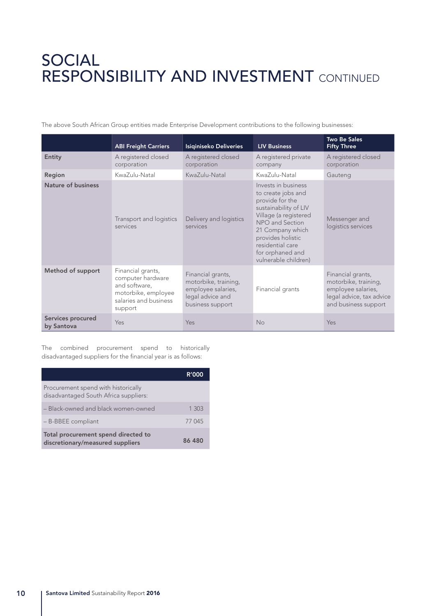# SOCIAL RESPONSIBILITY AND INVESTMENT CONTINUED

The above South African Group entities made Enterprise Development contributions to the following businesses:

|                                 | <b>ABI Freight Carriers</b>                                                                                        | Isiqiniseko Deliveries                                                                                  | <b>LIV Business</b>                                                                                                                                                                                                                        | <b>Two Be Sales</b><br><b>Fifty Three</b>                                                                           |
|---------------------------------|--------------------------------------------------------------------------------------------------------------------|---------------------------------------------------------------------------------------------------------|--------------------------------------------------------------------------------------------------------------------------------------------------------------------------------------------------------------------------------------------|---------------------------------------------------------------------------------------------------------------------|
| Entity                          | A registered closed<br>corporation                                                                                 | A registered closed<br>corporation                                                                      | A registered private<br>company                                                                                                                                                                                                            | A registered closed<br>corporation                                                                                  |
| Region                          | KwaZulu-Natal                                                                                                      | KwaZulu-Natal                                                                                           | KwaZulu-Natal                                                                                                                                                                                                                              | Gauteng                                                                                                             |
| Nature of business              | Transport and logistics<br>services                                                                                | Delivery and logistics<br>services                                                                      | Invests in business<br>to create jobs and<br>provide for the<br>sustainability of LIV<br>Village (a registered<br>NPO and Section<br>21 Company which<br>provides holistic<br>residential care<br>for orphaned and<br>vulnerable children) | Messenger and<br>logistics services                                                                                 |
| Method of support               | Financial grants,<br>computer hardware<br>and software,<br>motorbike, employee<br>salaries and business<br>support | Financial grants,<br>motorbike, training,<br>employee salaries,<br>legal advice and<br>business support | Financial grants                                                                                                                                                                                                                           | Financial grants,<br>motorbike, training,<br>employee salaries,<br>legal advice, tax advice<br>and business support |
| Services procured<br>by Santova | Yes                                                                                                                | Yes                                                                                                     | <b>No</b>                                                                                                                                                                                                                                  | Yes                                                                                                                 |

The combined procurement spend to historically disadvantaged suppliers for the financial year is as follows:

|                                                                              | <b>R'000</b> |
|------------------------------------------------------------------------------|--------------|
| Procurement spend with historically<br>disadvantaged South Africa suppliers: |              |
| - Black-owned and black women-owned                                          | 1 303        |
| - B-BBEE compliant                                                           | 77 045       |
| Total procurement spend directed to<br>discretionary/measured suppliers      | 86 480       |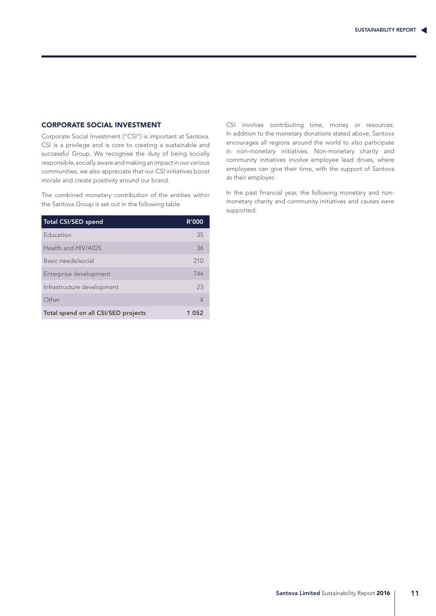### CORPORATE SOCIAL INVESTMENT

Corporate Social Investment ("CSI") is important at Santova. CSI is a privilege and is core to creating a sustainable and successful Group. We recognise the duty of being socially responsible, socially aware and making an impact in our various communities, we also appreciate that our CSI initiatives boost morale and create positivity around our brand.

The combined monetary contribution of the entities within the Santova Group is set out in the following table:

| <b>Total CSI/SED spend</b>          | <b>R'000</b> |
|-------------------------------------|--------------|
| Education                           | 35           |
| Health and HIV/AIDS                 | 36           |
| Basic needs/social                  | 210          |
| Enterprise development              | 744          |
| Infrastructure development          | 23           |
| Other                               | 4            |
| Total spend on all CSI/SED projects | 052          |

CSI involves contributing time, money or resources. In addition to the monetary donations stated above, Santova encourages all regions around the world to also participate in non-monetary initiatives. Non-monetary charity and community initiatives involve employee lead drives, where employees can give their time, with the support of Santova as their employer.

In the past financial year, the following monetary and nonmonetary charity and community initiatives and causes were supported: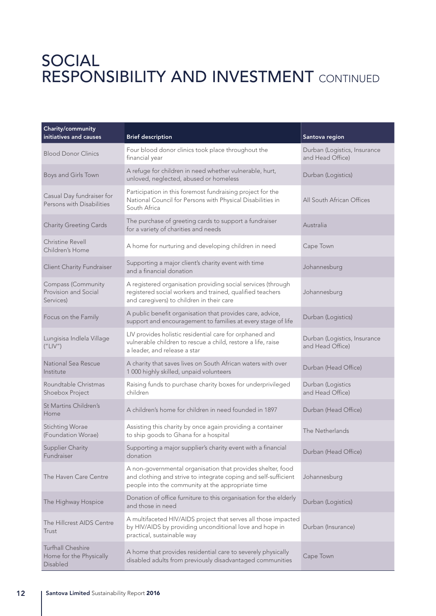# SOCIAL RESPONSIBILITY AND INVESTMENT CONTINUED

| Charity/community<br>initiatives and causes                     | <b>Brief description</b>                                                                                                                                                            | Santova region                                   |
|-----------------------------------------------------------------|-------------------------------------------------------------------------------------------------------------------------------------------------------------------------------------|--------------------------------------------------|
| <b>Blood Donor Clinics</b>                                      | Four blood donor clinics took place throughout the<br>financial year                                                                                                                | Durban (Logistics, Insurance<br>and Head Office) |
| Boys and Girls Town                                             | A refuge for children in need whether vulnerable, hurt,<br>unloved, neglected, abused or homeless                                                                                   | Durban (Logistics)                               |
| Casual Day fundraiser for<br>Persons with Disabilities          | Participation in this foremost fundraising project for the<br>National Council for Persons with Physical Disabilities in<br>South Africa                                            | All South African Offices                        |
| <b>Charity Greeting Cards</b>                                   | The purchase of greeting cards to support a fundraiser<br>for a variety of charities and needs                                                                                      | Australia                                        |
| Christine Revell<br>Children's Home                             | A home for nurturing and developing children in need                                                                                                                                | Cape Town                                        |
| <b>Client Charity Fundraiser</b>                                | Supporting a major client's charity event with time<br>and a financial donation                                                                                                     | Johannesburg                                     |
| <b>Compass (Community</b><br>Provision and Social<br>Services)  | A registered organisation providing social services (through<br>registered social workers and trained, qualified teachers<br>and caregivers) to children in their care              | Johannesburg                                     |
| Focus on the Family                                             | A public benefit organisation that provides care, advice,<br>support and encouragement to families at every stage of life                                                           | Durban (Logistics)                               |
| Lungisisa Indlela Village<br>("LIV")                            | LIV provides holistic residential care for orphaned and<br>vulnerable children to rescue a child, restore a life, raise<br>a leader, and release a star                             | Durban (Logistics, Insurance<br>and Head Office) |
| National Sea Rescue<br>Institute                                | A charity that saves lives on South African waters with over<br>1 000 highly skilled, unpaid volunteers                                                                             | Durban (Head Office)                             |
| Roundtable Christmas<br>Shoebox Project                         | Raising funds to purchase charity boxes for underprivileged<br>children                                                                                                             | Durban (Logistics<br>and Head Office)            |
| St Martins Children's<br>Home                                   | A children's home for children in need founded in 1897                                                                                                                              | Durban (Head Office)                             |
| <b>Stichting Worae</b><br>(Foundation Worae)                    | Assisting this charity by once again providing a container<br>to ship goods to Ghana for a hospital                                                                                 | The Netherlands                                  |
| Supplier Charity<br>Fundraiser                                  | Supporting a major supplier's charity event with a financial<br>donation                                                                                                            | Durban (Head Office)                             |
| The Haven Care Centre                                           | A non-governmental organisation that provides shelter, food<br>and clothing and strive to integrate coping and self-sufficient<br>people into the community at the appropriate time | Johannesburg                                     |
| The Highway Hospice                                             | Donation of office furniture to this organisation for the elderly<br>and those in need                                                                                              | Durban (Logistics)                               |
| The Hillcrest AIDS Centre<br>Trust                              | A multifaceted HIV/AIDS project that serves all those impacted<br>by HIV/AIDS by providing unconditional love and hope in<br>practical, sustainable way                             | Durban (Insurance)                               |
| <b>Turfhall Cheshire</b><br>Home for the Physically<br>Disabled | A home that provides residential care to severely physically<br>disabled adults from previously disadvantaged communities                                                           | Cape Town                                        |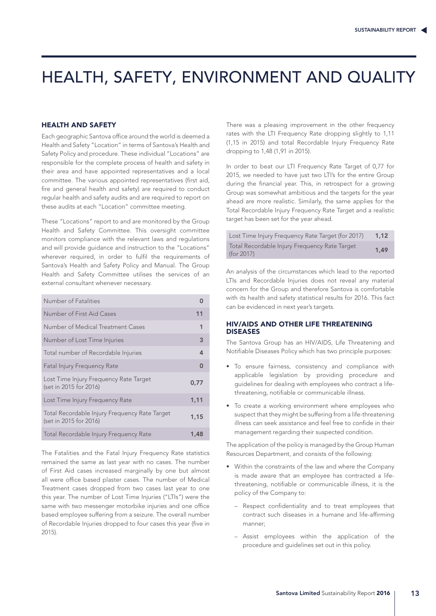## HEALTH, SAFETY, ENVIRONMENT AND QUALITY

### HEALTH AND SAFETY

Each geographic Santova office around the world is deemed a Health and Safety "Location" in terms of Santova's Health and Safety Policy and procedure. These individual "Locations" are responsible for the complete process of health and safety in their area and have appointed representatives and a local committee. The various appointed representatives (first aid, fire and general health and safety) are required to conduct regular health and safety audits and are required to report on these audits at each "Location" committee meeting.

These "Locations" report to and are monitored by the Group Health and Safety Committee. This oversight committee monitors compliance with the relevant laws and regulations and will provide guidance and instruction to the "Locations" wherever required, in order to fulfil the requirements of Santova's Health and Safety Policy and Manual. The Group Health and Safety Committee utilises the services of an external consultant whenever necessary.

| Number of Fatalities                                                    |      |
|-------------------------------------------------------------------------|------|
| Number of First Aid Cases                                               | 11   |
| Number of Medical Treatment Cases                                       | 1    |
| Number of Lost Time Injuries                                            | 3    |
| Total number of Recordable Injuries                                     | 4    |
| <b>Fatal Injury Frequency Rate</b>                                      | O    |
| Lost Time Injury Frequency Rate Target<br>(set in 2015 for 2016)        | 0.77 |
| Lost Time Injury Frequency Rate                                         | 1,11 |
| Total Recordable Injury Frequency Rate Target<br>(set in 2015 for 2016) | 1,15 |
| Total Recordable Injury Frequency Rate                                  | 1,48 |

The Fatalities and the Fatal Injury Frequency Rate statistics remained the same as last year with no cases. The number of First Aid cases increased marginally by one but almost all were office based plaster cases. The number of Medical Treatment cases dropped from two cases last year to one this year. The number of Lost Time Injuries ("LTIs") were the same with two messenger motorbike injuries and one office based employee suffering from a seizure. The overall number of Recordable Injuries dropped to four cases this year (five in 2015).

There was a pleasing improvement in the other frequency rates with the LTI Frequency Rate dropping slightly to 1,11 (1,15 in 2015) and total Recordable Injury Frequency Rate dropping to 1,48 (1,91 in 2015).

In order to beat our LTI Frequency Rate Target of 0,77 for 2015, we needed to have just two LTI's for the entire Group during the financial year. This, in retrospect for a growing Group was somewhat ambitious and the targets for the year ahead are more realistic. Similarly, the same applies for the Total Recordable Injury Frequency Rate Target and a realistic target has been set for the year ahead.

| Lost Time Injury Frequency Rate Target (for 2017)           | 1.12 |
|-------------------------------------------------------------|------|
| Total Recordable Injury Frequency Rate Target<br>(for 2017) | 1.49 |

An analysis of the circumstances which lead to the reported LTIs and Recordable Injuries does not reveal any material concern for the Group and therefore Santova is comfortable with its health and safety statistical results for 2016. This fact can be evidenced in next year's targets.

### HIV/AIDS AND OTHER LIFE THREATENING DISEASES

The Santova Group has an HIV/AIDS, Life Threatening and Notifiable Diseases Policy which has two principle purposes:

- To ensure fairness, consistency and compliance with applicable legislation by providing procedure and guidelines for dealing with employees who contract a lifethreatening, notifiable or communicable illness.
- To create a working environment where employees who suspect that they might be suffering from a life-threatening illness can seek assistance and feel free to confide in their management regarding their suspected condition.

The application of the policy is managed by the Group Human Resources Department, and consists of the following:

- Within the constraints of the law and where the Company is made aware that an employee has contracted a lifethreatening, notifiable or communicable illness, it is the policy of the Company to:
	- Respect confidentiality and to treat employees that contract such diseases in a humane and life-affirming manner;
	- Assist employees within the application of the procedure and guidelines set out in this policy.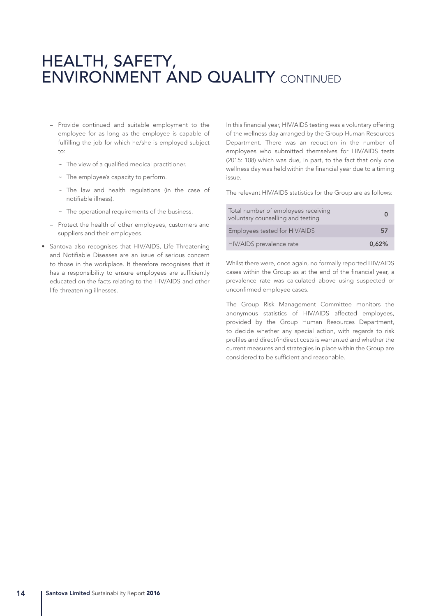## HEALTH, SAFETY, ENVIRONMENT AND QUALITY CONTINUED

- Provide continued and suitable employment to the employee for as long as the employee is capable of fulfilling the job for which he/she is employed subject  $t^{\circ}$ 
	- ~ The view of a qualified medical practitioner.
	- ~ The employee's capacity to perform.
	- ~ The law and health regulations (in the case of notifiable illness).
	- ~ The operational requirements of the business.
- Protect the health of other employees, customers and suppliers and their employees.
- Santova also recognises that HIV/AIDS, Life Threatening and Notifiable Diseases are an issue of serious concern to those in the workplace. It therefore recognises that it has a responsibility to ensure employees are sufficiently educated on the facts relating to the HIV/AIDS and other life-threatening illnesses.

In this financial year, HIV/AIDS testing was a voluntary offering of the wellness day arranged by the Group Human Resources Department. There was an reduction in the number of employees who submitted themselves for HIV/AIDS tests (2015: 108) which was due, in part, to the fact that only one wellness day was held within the financial year due to a timing issue.

The relevant HIV/AIDS statistics for the Group are as follows:

| Total number of employees receiving<br>voluntary counselling and testing |       |
|--------------------------------------------------------------------------|-------|
| Employees tested for HIV/AIDS                                            | 57    |
| HIV/AIDS prevalence rate                                                 | 0.62% |

Whilst there were, once again, no formally reported HIV/AIDS cases within the Group as at the end of the financial year, a prevalence rate was calculated above using suspected or unconfirmed employee cases.

The Group Risk Management Committee monitors the anonymous statistics of HIV/AIDS affected employees, provided by the Group Human Resources Department, to decide whether any special action, with regards to risk profiles and direct/indirect costs is warranted and whether the current measures and strategies in place within the Group are considered to be sufficient and reasonable.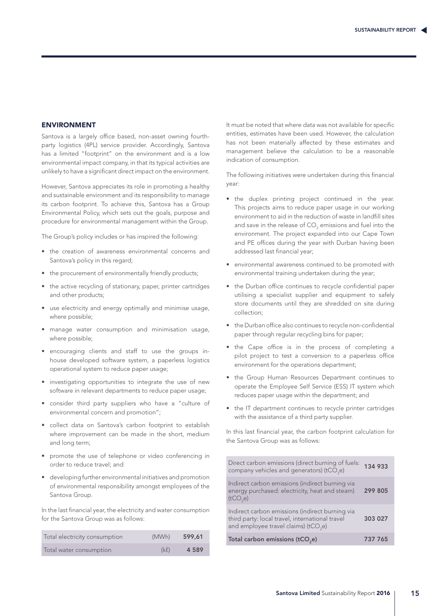#### ENVIRONMENT

Santova is a largely office based, non-asset owning fourthparty logistics (4PL) service provider. Accordingly, Santova has a limited "footprint" on the environment and is a low environmental impact company, in that its typical activities are unlikely to have a significant direct impact on the environment.

However, Santova appreciates its role in promoting a healthy and sustainable environment and its responsibility to manage its carbon footprint. To achieve this, Santova has a Group Environmental Policy, which sets out the goals, purpose and procedure for environmental management within the Group.

The Group's policy includes or has inspired the following:

- the creation of awareness environmental concerns and Santova's policy in this regard;
- the procurement of environmentally friendly products;
- the active recycling of stationary, paper, printer cartridges and other products;
- use electricity and energy optimally and minimise usage, where possible;
- manage water consumption and minimisation usage, where possible;
- encouraging clients and staff to use the groups inhouse developed software system, a paperless logistics operational system to reduce paper usage;
- investigating opportunities to integrate the use of new software in relevant departments to reduce paper usage;
- consider third party suppliers who have a "culture of environmental concern and promotion";
- collect data on Santova's carbon footprint to establish where improvement can be made in the short, medium and long term;
- promote the use of telephone or video conferencing in order to reduce travel; and
- developing further environmental initiatives and promotion of environmental responsibility amongst employees of the Santova Group.

In the last financial year, the electricity and water consumption for the Santova Group was as follows:

| Total electricity consumption | (MWh) | 599.61  |
|-------------------------------|-------|---------|
| Total water consumption       | (kl)  | 4 5 8 9 |

It must be noted that where data was not available for specific entities, estimates have been used. However, the calculation has not been materially affected by these estimates and management believe the calculation to be a reasonable indication of consumption.

The following initiatives were undertaken during this financial year:

- the duplex printing project continued in the year. This projects aims to reduce paper usage in our working environment to aid in the reduction of waste in landfill sites and save in the release of  $\mathsf{CO}_2$  emissions and fuel into the environment. The project expanded into our Cape Town and PE offices during the year with Durban having been addressed last financial year;
- environmental awareness continued to be promoted with environmental training undertaken during the year;
- the Durban office continues to recycle confidential paper utilising a specialist supplier and equipment to safely store documents until they are shredded on site during collection;
- the Durban office also continues to recycle non-confidential paper through regular recycling bins for paper;
- the Cape office is in the process of completing a pilot project to test a conversion to a paperless office environment for the operations department;
- the Group Human Resources Department continues to operate the Employee Self Service (ESS) IT system which reduces paper usage within the department; and
- the IT department continues to recycle printer cartridges with the assistance of a third party supplier.

In this last financial year, the carbon footprint calculation for the Santova Group was as follows:

| Direct carbon emissions (direct burning of fuels:<br>company vehicles and generators) (tCO <sub>2</sub> e)                                             | 134 933 |
|--------------------------------------------------------------------------------------------------------------------------------------------------------|---------|
| Indirect carbon emissions (indirect burning via<br>energy purchased: electricity, heat and steam)<br>(tCO,e)                                           | 299 805 |
| Indirect carbon emissions (indirect burning via<br>third party: local travel, international travel<br>and employee travel claims) (tCO <sub>2</sub> e) | 303 027 |
| Total carbon emissions (tCO <sub>2</sub> e)                                                                                                            | 737 765 |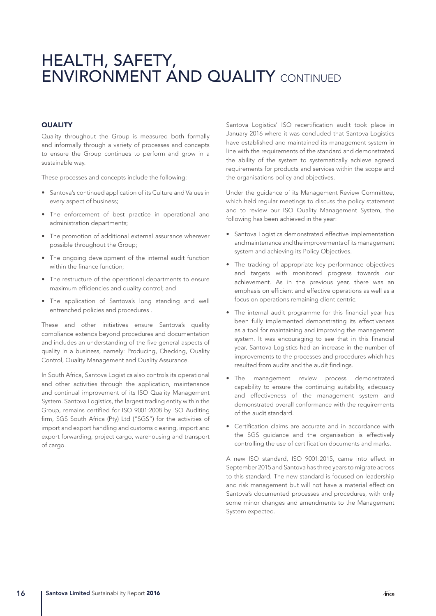## HEALTH, SAFETY, ENVIRONMENT AND QUALITY CONTINUED

### **QUALITY**

Quality throughout the Group is measured both formally and informally through a variety of processes and concepts to ensure the Group continues to perform and grow in a sustainable way.

These processes and concepts include the following:

- Santova's continued application of its Culture and Values in every aspect of business;
- The enforcement of best practice in operational and administration departments;
- The promotion of additional external assurance wherever possible throughout the Group;
- The ongoing development of the internal audit function within the finance function;
- The restructure of the operational departments to ensure maximum efficiencies and quality control; and
- The application of Santova's long standing and well entrenched policies and procedures .

These and other initiatives ensure Santova's quality compliance extends beyond procedures and documentation and includes an understanding of the five general aspects of quality in a business, namely: Producing, Checking, Quality Control, Quality Management and Quality Assurance.

In South Africa, Santova Logistics also controls its operational and other activities through the application, maintenance and continual improvement of its ISO Quality Management System. Santova Logistics, the largest trading entity within the Group, remains certified for ISO 9001:2008 by ISO Auditing firm, SGS South Africa (Pty) Ltd ("SGS") for the activities of import and export handling and customs clearing, import and export forwarding, project cargo, warehousing and transport of cargo.

Santova Logistics' ISO recertification audit took place in January 2016 where it was concluded that Santova Logistics have established and maintained its management system in line with the requirements of the standard and demonstrated the ability of the system to systematically achieve agreed requirements for products and services within the scope and the organisations policy and objectives.

Under the guidance of its Management Review Committee, which held regular meetings to discuss the policy statement and to review our ISO Quality Management System, the following has been achieved in the year:

- Santova Logistics demonstrated effective implementation and maintenance and the improvements of its management system and achieving its Policy Objectives.
- The tracking of appropriate key performance objectives and targets with monitored progress towards our achievement. As in the previous year, there was an emphasis on efficient and effective operations as well as a focus on operations remaining client centric.
- The internal audit programme for this financial year has been fully implemented demonstrating its effectiveness as a tool for maintaining and improving the management system. It was encouraging to see that in this financial year, Santova Logistics had an increase in the number of improvements to the processes and procedures which has resulted from audits and the audit findings.
- The management review process demonstrated capability to ensure the continuing suitability, adequacy and effectiveness of the management system and demonstrated overall conformance with the requirements of the audit standard.
- Certification claims are accurate and in accordance with the SGS guidance and the organisation is effectively controlling the use of certification documents and marks.

A new ISO standard, ISO 9001:2015, came into effect in September 2015 and Santova has three years to migrate across to this standard. The new standard is focused on leadership and risk management but will not have a material effect on Santova's documented processes and procedures, with only some minor changes and amendments to the Management System expected.